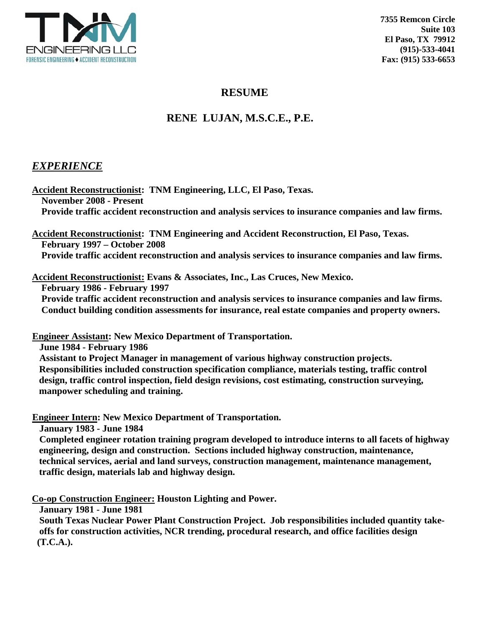

## **RESUME**

# **RENE LUJAN, M.S.C.E., P.E.**

## *EXPERIENCE*

**Accident Reconstructionist: TNM Engineering, LLC, El Paso, Texas. November 2008 - Present Provide traffic accident reconstruction and analysis services to insurance companies and law firms.** 

**Accident Reconstructionist: TNM Engineering and Accident Reconstruction, El Paso, Texas. February 1997 – October 2008** 

 **Provide traffic accident reconstruction and analysis services to insurance companies and law firms.** 

**Accident Reconstructionist: Evans & Associates, Inc., Las Cruces, New Mexico.** 

 **February 1986 - February 1997** 

 **Provide traffic accident reconstruction and analysis services to insurance companies and law firms. Conduct building condition assessments for insurance, real estate companies and property owners.** 

**Engineer Assistant: New Mexico Department of Transportation.** 

 **June 1984 - February 1986** 

 **Assistant to Project Manager in management of various highway construction projects. Responsibilities included construction specification compliance, materials testing, traffic control design, traffic control inspection, field design revisions, cost estimating, construction surveying, manpower scheduling and training.** 

**Engineer Intern: New Mexico Department of Transportation.** 

 **January 1983 - June 1984** 

 **Completed engineer rotation training program developed to introduce interns to all facets of highway engineering, design and construction. Sections included highway construction, maintenance, technical services, aerial and land surveys, construction management, maintenance management, traffic design, materials lab and highway design.** 

**Co-op Construction Engineer: Houston Lighting and Power.** 

 **January 1981 - June 1981** 

 **South Texas Nuclear Power Plant Construction Project. Job responsibilities included quantity take offs for construction activities, NCR trending, procedural research, and office facilities design (T.C.A.).**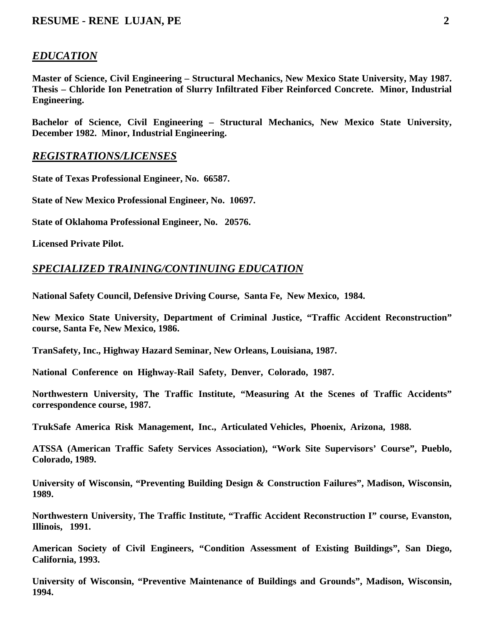# *EDUCATION*

**Master of Science, Civil Engineering – Structural Mechanics, New Mexico State University, May 1987. Thesis – Chloride Ion Penetration of Slurry Infiltrated Fiber Reinforced Concrete. Minor, Industrial Engineering.** 

**Bachelor of Science, Civil Engineering – Structural Mechanics, New Mexico State University, December 1982. Minor, Industrial Engineering.** 

## *REGISTRATIONS/LICENSES*

**State of Texas Professional Engineer, No. 66587.** 

**State of New Mexico Professional Engineer, No. 10697.** 

**State of Oklahoma Professional Engineer, No. 20576.** 

**Licensed Private Pilot.** 

## *SPECIALIZED TRAINING/CONTINUING EDUCATION*

**National Safety Council, Defensive Driving Course, Santa Fe, New Mexico, 1984.** 

**New Mexico State University, Department of Criminal Justice, "Traffic Accident Reconstruction" course, Santa Fe, New Mexico, 1986.** 

**TranSafety, Inc., Highway Hazard Seminar, New Orleans, Louisiana, 1987.** 

**National Conference on Highway-Rail Safety, Denver, Colorado, 1987.** 

**Northwestern University, The Traffic Institute, "Measuring At the Scenes of Traffic Accidents" correspondence course, 1987.** 

**TrukSafe America Risk Management, Inc., Articulated Vehicles, Phoenix, Arizona, 1988.** 

**ATSSA (American Traffic Safety Services Association), "Work Site Supervisors' Course", Pueblo, Colorado, 1989.** 

**University of Wisconsin, "Preventing Building Design & Construction Failures", Madison, Wisconsin, 1989.** 

**Northwestern University, The Traffic Institute, "Traffic Accident Reconstruction I" course, Evanston, Illinois, 1991.** 

**American Society of Civil Engineers, "Condition Assessment of Existing Buildings", San Diego, California, 1993.** 

**University of Wisconsin, "Preventive Maintenance of Buildings and Grounds", Madison, Wisconsin, 1994.**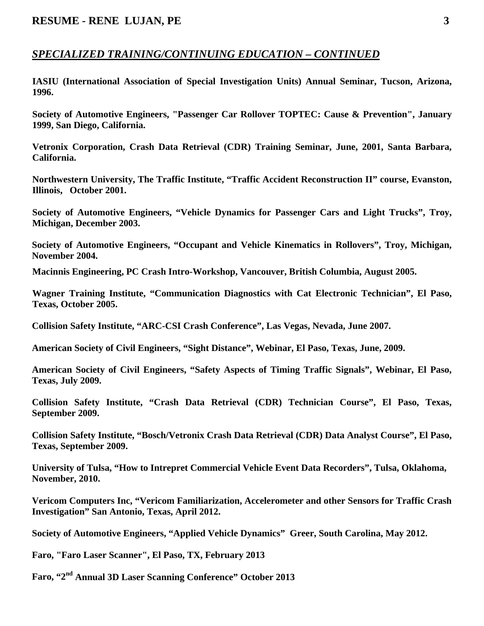#### *SPECIALIZED TRAINING/CONTINUING EDUCATION – CONTINUED*

**IASIU (International Association of Special Investigation Units) Annual Seminar, Tucson, Arizona, 1996.** 

**Society of Automotive Engineers, "Passenger Car Rollover TOPTEC: Cause & Prevention", January 1999, San Diego, California.** 

**Vetronix Corporation, Crash Data Retrieval (CDR) Training Seminar, June, 2001, Santa Barbara, California.** 

**Northwestern University, The Traffic Institute, "Traffic Accident Reconstruction II" course, Evanston, Illinois, October 2001.** 

**Society of Automotive Engineers, "Vehicle Dynamics for Passenger Cars and Light Trucks", Troy, Michigan, December 2003.** 

**Society of Automotive Engineers, "Occupant and Vehicle Kinematics in Rollovers", Troy, Michigan, November 2004.** 

**Macinnis Engineering, PC Crash Intro-Workshop, Vancouver, British Columbia, August 2005.** 

**Wagner Training Institute, "Communication Diagnostics with Cat Electronic Technician", El Paso, Texas, October 2005.** 

**Collision Safety Institute, "ARC-CSI Crash Conference", Las Vegas, Nevada, June 2007.** 

**American Society of Civil Engineers, "Sight Distance", Webinar, El Paso, Texas, June, 2009.** 

**American Society of Civil Engineers, "Safety Aspects of Timing Traffic Signals", Webinar, El Paso, Texas, July 2009.** 

**Collision Safety Institute, "Crash Data Retrieval (CDR) Technician Course", El Paso, Texas, September 2009.** 

**Collision Safety Institute, "Bosch/Vetronix Crash Data Retrieval (CDR) Data Analyst Course", El Paso, Texas, September 2009.** 

**University of Tulsa, "How to Intrepret Commercial Vehicle Event Data Recorders", Tulsa, Oklahoma, November, 2010.** 

**Vericom Computers Inc, "Vericom Familiarization, Accelerometer and other Sensors for Traffic Crash Investigation" San Antonio, Texas, April 2012.** 

**Society of Automotive Engineers, "Applied Vehicle Dynamics" Greer, South Carolina, May 2012.** 

 **Faro, "Faro Laser Scanner", El Paso, TX, February 2013** 

**Faro, "2nd Annual 3D Laser Scanning Conference" October 2013**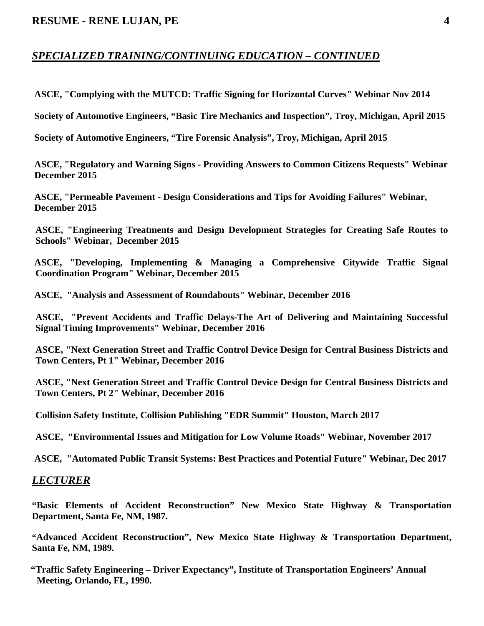## *SPECIALIZED TRAINING/CONTINUING EDUCATION – CONTINUED*

 **ASCE, "Complying with the MUTCD: Traffic Signing for Horizontal Curves" Webinar Nov 2014** 

 **Society of Automotive Engineers, "Basic Tire Mechanics and Inspection", Troy, Michigan, April 2015** 

 **Society of Automotive Engineers, "Tire Forensic Analysis", Troy, Michigan, April 2015** 

 **ASCE, "Regulatory and Warning Signs - Providing Answers to Common Citizens Requests" Webinar December 2015** 

 **ASCE, "Permeable Pavement - Design Considerations and Tips for Avoiding Failures" Webinar, December 2015** 

**ASCE, "Engineering Treatments and Design Development Strategies for Creating Safe Routes to Schools" Webinar, December 2015** 

 **ASCE, "Developing, Implementing & Managing a Comprehensive Citywide Traffic Signal Coordination Program" Webinar, December 2015** 

 **ASCE, "Analysis and Assessment of Roundabouts" Webinar, December 2016** 

 **ASCE, "Prevent Accidents and Traffic Delays-The Art of Delivering and Maintaining Successful Signal Timing Improvements" Webinar, December 2016** 

 **ASCE, "Next Generation Street and Traffic Control Device Design for Central Business Districts and Town Centers, Pt 1" Webinar, December 2016** 

 **ASCE, "Next Generation Street and Traffic Control Device Design for Central Business Districts and Town Centers, Pt 2" Webinar, December 2016** 

 **Collision Safety Institute, Collision Publishing "EDR Summit" Houston, March 2017** 

 **ASCE, "Environmental Issues and Mitigation for Low Volume Roads" Webinar, November 2017** 

 **ASCE, "Automated Public Transit Systems: Best Practices and Potential Future" Webinar, Dec 2017** 

### *LECTURER*

**"Basic Elements of Accident Reconstruction" New Mexico State Highway & Transportation Department, Santa Fe, NM, 1987.** 

**"Advanced Accident Reconstruction", New Mexico State Highway & Transportation Department, Santa Fe, NM, 1989.** 

 **"Traffic Safety Engineering – Driver Expectancy", Institute of Transportation Engineers' Annual Meeting, Orlando, FL, 1990.**